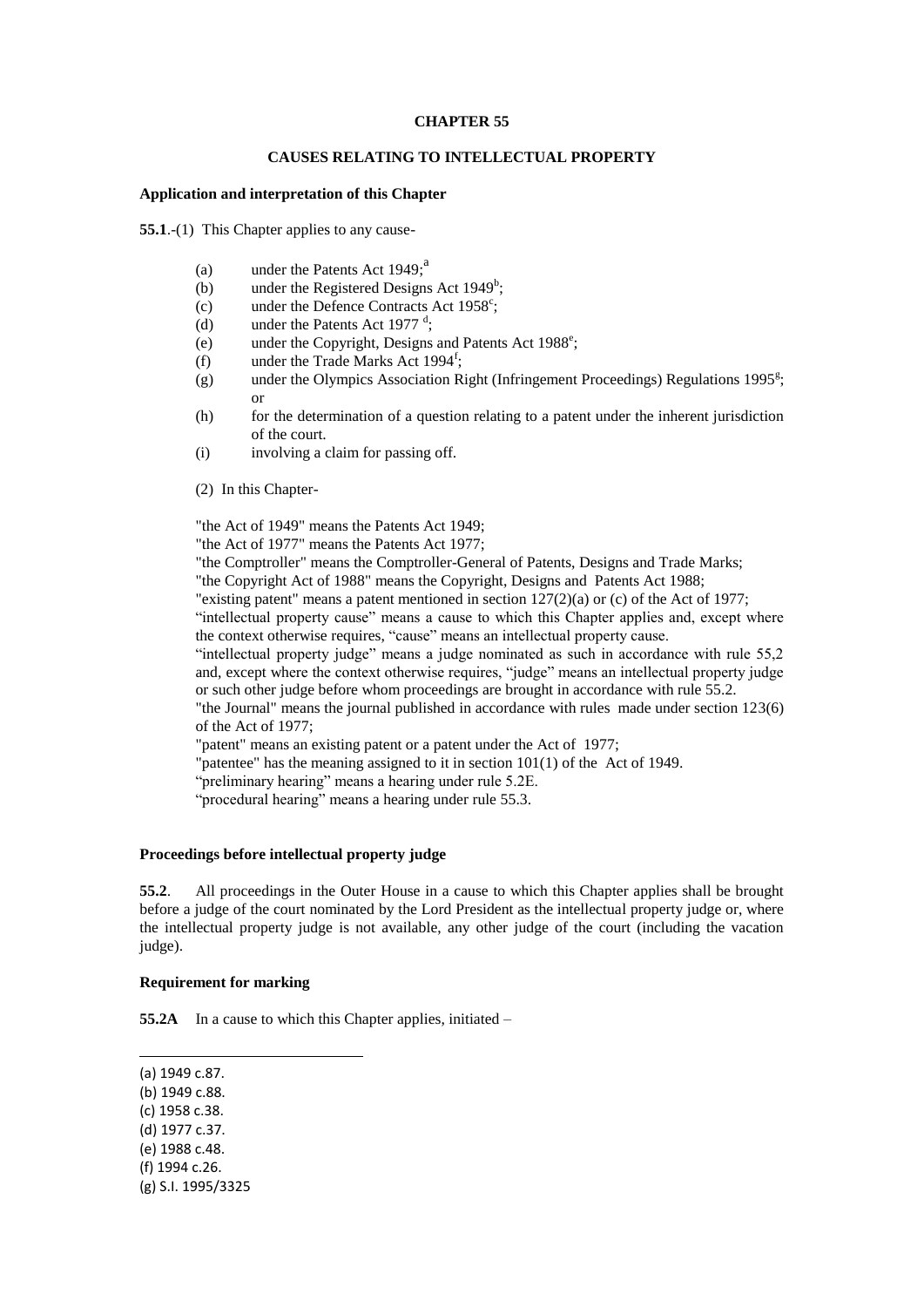#### **CHAPTER 55**

## **CAUSES RELATING TO INTELLECTUAL PROPERTY**

#### **Application and interpretation of this Chapter**

**55.1**.-(1) This Chapter applies to any cause-

- (a) under the Patents Act 1949;<sup>a</sup>
- (b) under the Registered Designs Act  $1949^b$ ;
- $(c)$  under the Defence Contracts Act 1958<sup>c</sup>;
- (d) under the Patents Act 1977 $\frac{d}{f}$ ;
- (e) under the Copyright, Designs and Patents Act 1988<sup>e</sup>;
- (f) under the Trade Marks Act  $1994^f$ ;
- (g) under the Olympics Association Right (Infringement Proceedings) Regulations 1995<sup>g</sup>; or
- (h) for the determination of a question relating to a patent under the inherent jurisdiction of the court.
- (i) involving a claim for passing off.
- (2) In this Chapter-

"the Act of 1949" means the Patents Act 1949;

"the Act of 1977" means the Patents Act 1977;

"the Comptroller" means the Comptroller-General of Patents, Designs and Trade Marks;

- "the Copyright Act of 1988" means the Copyright, Designs and Patents Act 1988;
- "existing patent" means a patent mentioned in section 127(2)(a) or (c) of the Act of 1977;

"intellectual property cause" means a cause to which this Chapter applies and, except where the context otherwise requires, "cause" means an intellectual property cause.

"intellectual property judge" means a judge nominated as such in accordance with rule 55,2 and, except where the context otherwise requires, "judge" means an intellectual property judge or such other judge before whom proceedings are brought in accordance with rule 55.2.

"the Journal" means the journal published in accordance with rules made under section 123(6) of the Act of 1977;

"patent" means an existing patent or a patent under the Act of 1977;

"patentee" has the meaning assigned to it in section 101(1) of the Act of 1949.

"preliminary hearing" means a hearing under rule 5.2E.

"procedural hearing" means a hearing under rule 55.3.

#### **Proceedings before intellectual property judge**

**55.2**. All proceedings in the Outer House in a cause to which this Chapter applies shall be brought before a judge of the court nominated by the Lord President as the intellectual property judge or, where the intellectual property judge is not available, any other judge of the court (including the vacation judge).

#### **Requirement for marking**

**55.2A** In a cause to which this Chapter applies, initiated –

(a) 1949 c.87.

1

- (b) 1949 c.88.
- (c) 1958 c.38.
- (d) 1977 c.37.
- (e) 1988 c.48.
- (f) 1994 c.26.
- (g) S.I. 1995/3325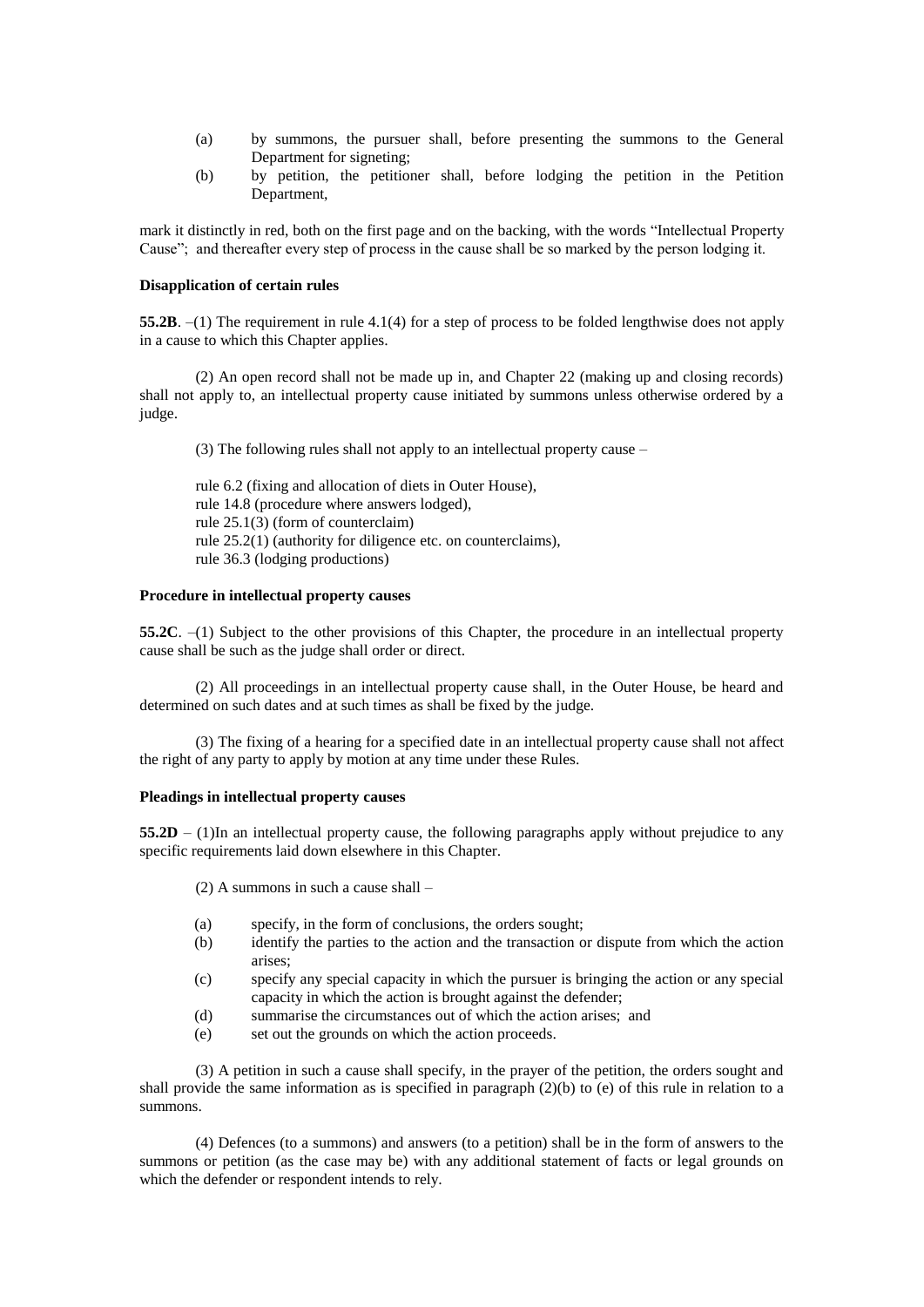- (a) by summons, the pursuer shall, before presenting the summons to the General Department for signeting;
- (b) by petition, the petitioner shall, before lodging the petition in the Petition Department,

mark it distinctly in red, both on the first page and on the backing, with the words "Intellectual Property Cause"; and thereafter every step of process in the cause shall be so marked by the person lodging it.

# **Disapplication of certain rules**

**55.2B**. –(1) The requirement in rule 4.1(4) for a step of process to be folded lengthwise does not apply in a cause to which this Chapter applies.

(2) An open record shall not be made up in, and Chapter 22 (making up and closing records) shall not apply to, an intellectual property cause initiated by summons unless otherwise ordered by a judge.

(3) The following rules shall not apply to an intellectual property cause –

rule 6.2 (fixing and allocation of diets in Outer House), rule 14.8 (procedure where answers lodged), rule 25.1(3) (form of counterclaim) rule 25.2(1) (authority for diligence etc. on counterclaims), rule 36.3 (lodging productions)

#### **Procedure in intellectual property causes**

**55.2C**. –(1) Subject to the other provisions of this Chapter, the procedure in an intellectual property cause shall be such as the judge shall order or direct.

(2) All proceedings in an intellectual property cause shall, in the Outer House, be heard and determined on such dates and at such times as shall be fixed by the judge.

(3) The fixing of a hearing for a specified date in an intellectual property cause shall not affect the right of any party to apply by motion at any time under these Rules.

#### **Pleadings in intellectual property causes**

**55.2D** – (1)In an intellectual property cause, the following paragraphs apply without prejudice to any specific requirements laid down elsewhere in this Chapter.

(2) A summons in such a cause shall –

- (a) specify, in the form of conclusions, the orders sought;
- (b) identify the parties to the action and the transaction or dispute from which the action arises;
- (c) specify any special capacity in which the pursuer is bringing the action or any special capacity in which the action is brought against the defender;
- (d) summarise the circumstances out of which the action arises; and
- (e) set out the grounds on which the action proceeds.

(3) A petition in such a cause shall specify, in the prayer of the petition, the orders sought and shall provide the same information as is specified in paragraph  $(2)(b)$  to (e) of this rule in relation to a summons.

(4) Defences (to a summons) and answers (to a petition) shall be in the form of answers to the summons or petition (as the case may be) with any additional statement of facts or legal grounds on which the defender or respondent intends to rely.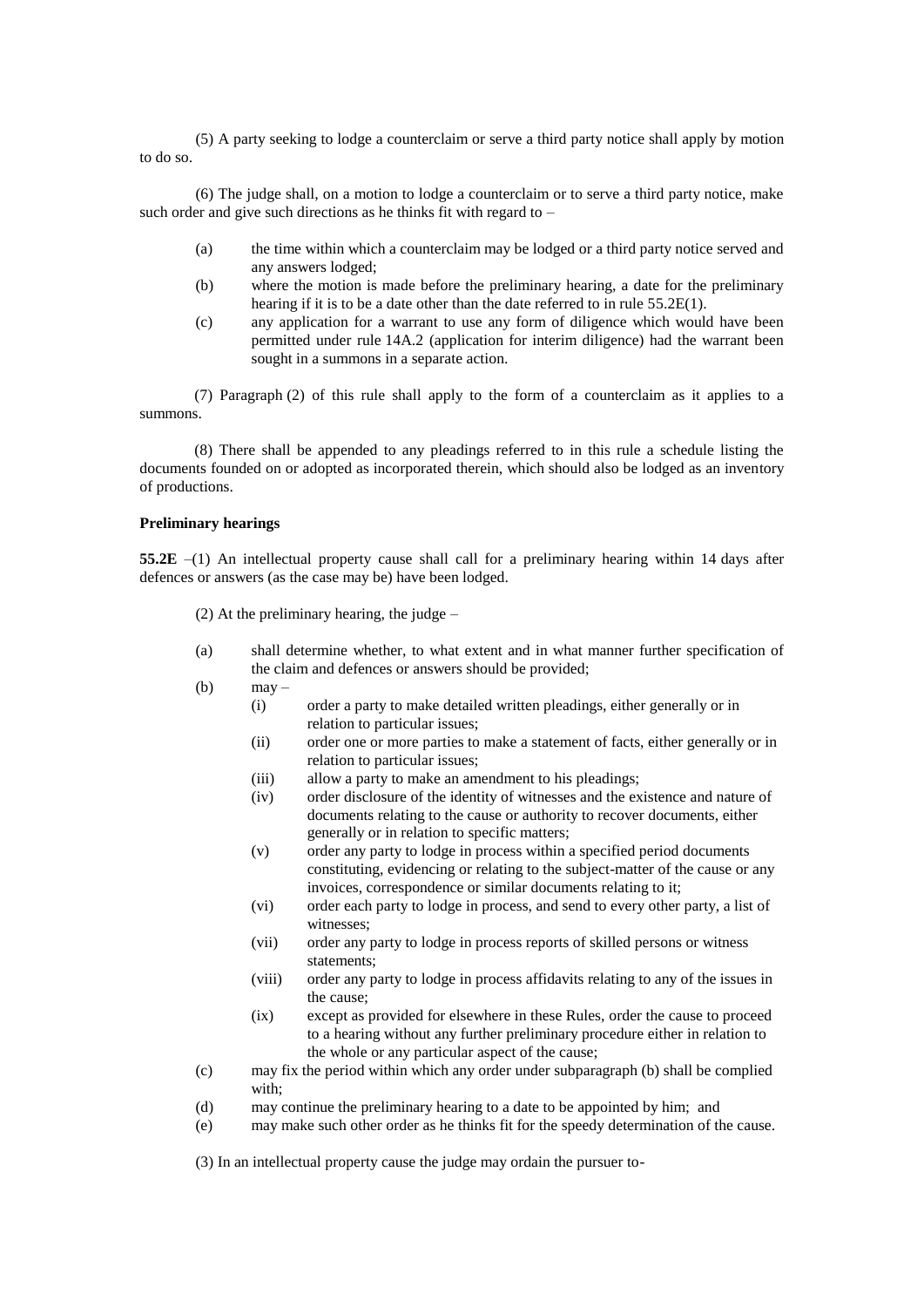(5) A party seeking to lodge a counterclaim or serve a third party notice shall apply by motion to do so.

(6) The judge shall, on a motion to lodge a counterclaim or to serve a third party notice, make such order and give such directions as he thinks fit with regard to –

- (a) the time within which a counterclaim may be lodged or a third party notice served and any answers lodged;
- (b) where the motion is made before the preliminary hearing, a date for the preliminary hearing if it is to be a date other than the date referred to in rule 55.2E(1).
- (c) any application for a warrant to use any form of diligence which would have been permitted under rule 14A.2 (application for interim diligence) had the warrant been sought in a summons in a separate action.

(7) Paragraph (2) of this rule shall apply to the form of a counterclaim as it applies to a summons.

(8) There shall be appended to any pleadings referred to in this rule a schedule listing the documents founded on or adopted as incorporated therein, which should also be lodged as an inventory of productions.

## **Preliminary hearings**

**55.2E** –(1) An intellectual property cause shall call for a preliminary hearing within 14 days after defences or answers (as the case may be) have been lodged.

(2) At the preliminary hearing, the judge –

- (a) shall determine whether, to what extent and in what manner further specification of the claim and defences or answers should be provided;
- $(b)$  may
	- (i) order a party to make detailed written pleadings, either generally or in relation to particular issues;
	- (ii) order one or more parties to make a statement of facts, either generally or in relation to particular issues;
	- (iii) allow a party to make an amendment to his pleadings;
	- (iv) order disclosure of the identity of witnesses and the existence and nature of documents relating to the cause or authority to recover documents, either generally or in relation to specific matters;
	- (v) order any party to lodge in process within a specified period documents constituting, evidencing or relating to the subject-matter of the cause or any invoices, correspondence or similar documents relating to it;
	- (vi) order each party to lodge in process, and send to every other party, a list of witnesses;
	- (vii) order any party to lodge in process reports of skilled persons or witness statements;
	- (viii) order any party to lodge in process affidavits relating to any of the issues in the cause;
	- (ix) except as provided for elsewhere in these Rules, order the cause to proceed to a hearing without any further preliminary procedure either in relation to the whole or any particular aspect of the cause;
- (c) may fix the period within which any order under subparagraph (b) shall be complied with;
- (d) may continue the preliminary hearing to a date to be appointed by him; and
- (e) may make such other order as he thinks fit for the speedy determination of the cause.

(3) In an intellectual property cause the judge may ordain the pursuer to-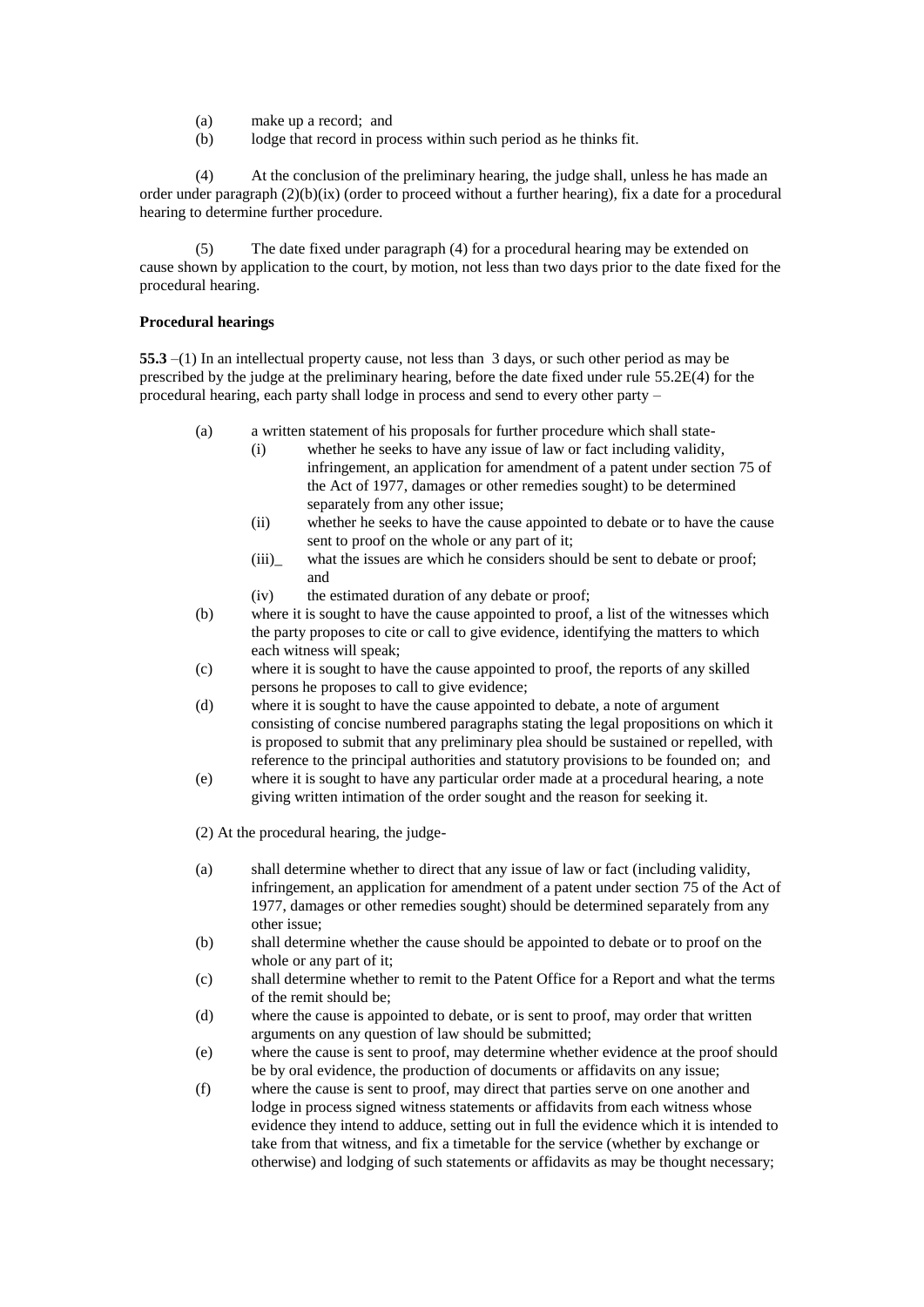- (a) make up a record; and
- (b) lodge that record in process within such period as he thinks fit.

(4) At the conclusion of the preliminary hearing, the judge shall, unless he has made an order under paragraph (2)(b)(ix) (order to proceed without a further hearing), fix a date for a procedural hearing to determine further procedure.

(5) The date fixed under paragraph (4) for a procedural hearing may be extended on cause shown by application to the court, by motion, not less than two days prior to the date fixed for the procedural hearing.

#### **Procedural hearings**

**55.3** –(1) In an intellectual property cause, not less than 3 days, or such other period as may be prescribed by the judge at the preliminary hearing, before the date fixed under rule 55.2E(4) for the procedural hearing, each party shall lodge in process and send to every other party –

- (a) a written statement of his proposals for further procedure which shall state-
	- (i) whether he seeks to have any issue of law or fact including validity, infringement, an application for amendment of a patent under section 75 of the Act of 1977, damages or other remedies sought) to be determined separately from any other issue;
	- (ii) whether he seeks to have the cause appointed to debate or to have the cause sent to proof on the whole or any part of it;
	- (iii) what the issues are which he considers should be sent to debate or proof; and
	- (iv) the estimated duration of any debate or proof;
- (b) where it is sought to have the cause appointed to proof, a list of the witnesses which the party proposes to cite or call to give evidence, identifying the matters to which each witness will speak;
- (c) where it is sought to have the cause appointed to proof, the reports of any skilled persons he proposes to call to give evidence;
- (d) where it is sought to have the cause appointed to debate, a note of argument consisting of concise numbered paragraphs stating the legal propositions on which it is proposed to submit that any preliminary plea should be sustained or repelled, with reference to the principal authorities and statutory provisions to be founded on; and
- (e) where it is sought to have any particular order made at a procedural hearing, a note giving written intimation of the order sought and the reason for seeking it.
- (2) At the procedural hearing, the judge-
- (a) shall determine whether to direct that any issue of law or fact (including validity, infringement, an application for amendment of a patent under section 75 of the Act of 1977, damages or other remedies sought) should be determined separately from any other issue;
- (b) shall determine whether the cause should be appointed to debate or to proof on the whole or any part of it;
- (c) shall determine whether to remit to the Patent Office for a Report and what the terms of the remit should be;
- (d) where the cause is appointed to debate, or is sent to proof, may order that written arguments on any question of law should be submitted;
- (e) where the cause is sent to proof, may determine whether evidence at the proof should be by oral evidence, the production of documents or affidavits on any issue;
- (f) where the cause is sent to proof, may direct that parties serve on one another and lodge in process signed witness statements or affidavits from each witness whose evidence they intend to adduce, setting out in full the evidence which it is intended to take from that witness, and fix a timetable for the service (whether by exchange or otherwise) and lodging of such statements or affidavits as may be thought necessary;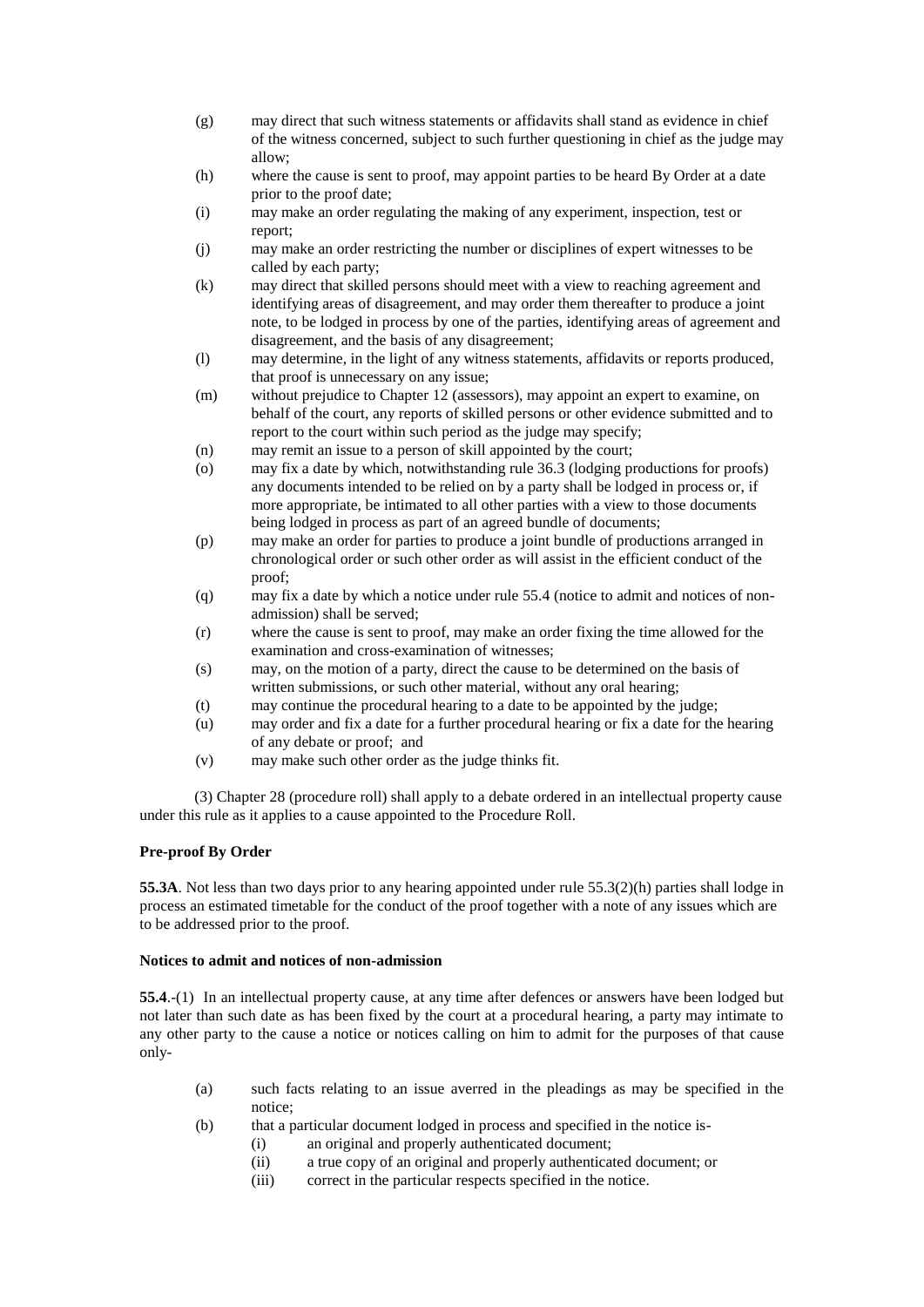- (g) may direct that such witness statements or affidavits shall stand as evidence in chief of the witness concerned, subject to such further questioning in chief as the judge may allow;
- (h) where the cause is sent to proof, may appoint parties to be heard By Order at a date prior to the proof date;
- (i) may make an order regulating the making of any experiment, inspection, test or report;
- (j) may make an order restricting the number or disciplines of expert witnesses to be called by each party;
- (k) may direct that skilled persons should meet with a view to reaching agreement and identifying areas of disagreement, and may order them thereafter to produce a joint note, to be lodged in process by one of the parties, identifying areas of agreement and disagreement, and the basis of any disagreement;
- (l) may determine, in the light of any witness statements, affidavits or reports produced, that proof is unnecessary on any issue;
- (m) without prejudice to Chapter 12 (assessors), may appoint an expert to examine, on behalf of the court, any reports of skilled persons or other evidence submitted and to report to the court within such period as the judge may specify;
- (n) may remit an issue to a person of skill appointed by the court;
- (o) may fix a date by which, notwithstanding rule 36.3 (lodging productions for proofs) any documents intended to be relied on by a party shall be lodged in process or, if more appropriate, be intimated to all other parties with a view to those documents being lodged in process as part of an agreed bundle of documents;
- (p) may make an order for parties to produce a joint bundle of productions arranged in chronological order or such other order as will assist in the efficient conduct of the proof;
- (q) may fix a date by which a notice under rule 55.4 (notice to admit and notices of nonadmission) shall be served;
- (r) where the cause is sent to proof, may make an order fixing the time allowed for the examination and cross-examination of witnesses;
- (s) may, on the motion of a party, direct the cause to be determined on the basis of written submissions, or such other material, without any oral hearing;
- (t) may continue the procedural hearing to a date to be appointed by the judge;
- (u) may order and fix a date for a further procedural hearing or fix a date for the hearing of any debate or proof; and
- (v) may make such other order as the judge thinks fit.

(3) Chapter 28 (procedure roll) shall apply to a debate ordered in an intellectual property cause under this rule as it applies to a cause appointed to the Procedure Roll.

## **Pre-proof By Order**

**55.3A**. Not less than two days prior to any hearing appointed under rule 55.3(2)(h) parties shall lodge in process an estimated timetable for the conduct of the proof together with a note of any issues which are to be addressed prior to the proof.

### **Notices to admit and notices of non-admission**

**55.4**.-(1) In an intellectual property cause, at any time after defences or answers have been lodged but not later than such date as has been fixed by the court at a procedural hearing, a party may intimate to any other party to the cause a notice or notices calling on him to admit for the purposes of that cause only-

- (a) such facts relating to an issue averred in the pleadings as may be specified in the notice;
- (b) that a particular document lodged in process and specified in the notice is-
	- (i) an original and properly authenticated document;
	- (ii) a true copy of an original and properly authenticated document; or
	- (iii) correct in the particular respects specified in the notice.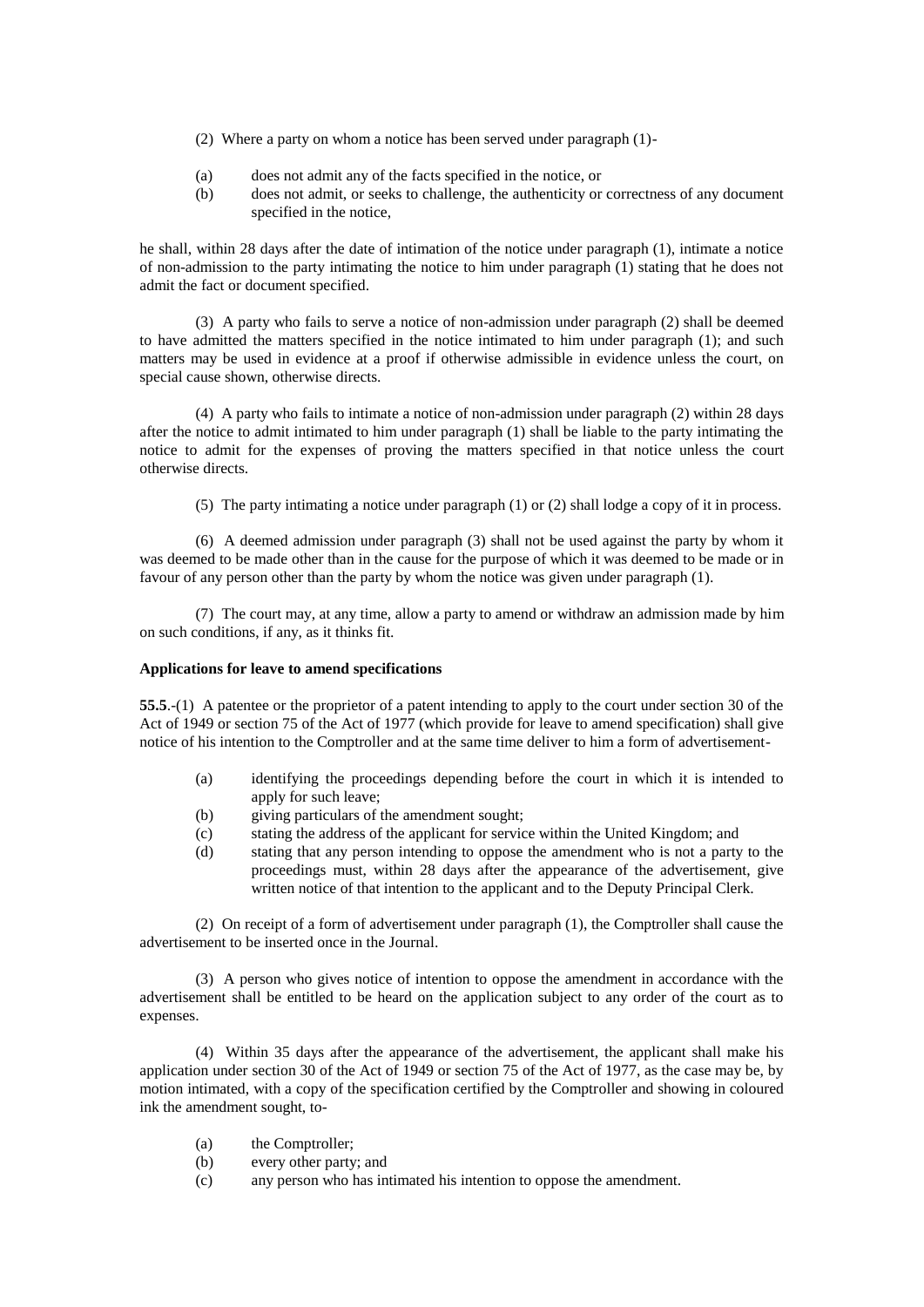- (2) Where a party on whom a notice has been served under paragraph (1)-
- (a) does not admit any of the facts specified in the notice, or
- (b) does not admit, or seeks to challenge, the authenticity or correctness of any document specified in the notice,

he shall, within 28 days after the date of intimation of the notice under paragraph (1), intimate a notice of non-admission to the party intimating the notice to him under paragraph (1) stating that he does not admit the fact or document specified.

(3) A party who fails to serve a notice of non-admission under paragraph (2) shall be deemed to have admitted the matters specified in the notice intimated to him under paragraph (1); and such matters may be used in evidence at a proof if otherwise admissible in evidence unless the court, on special cause shown, otherwise directs.

(4) A party who fails to intimate a notice of non-admission under paragraph (2) within 28 days after the notice to admit intimated to him under paragraph (1) shall be liable to the party intimating the notice to admit for the expenses of proving the matters specified in that notice unless the court otherwise directs.

(5) The party intimating a notice under paragraph (1) or (2) shall lodge a copy of it in process.

(6) A deemed admission under paragraph (3) shall not be used against the party by whom it was deemed to be made other than in the cause for the purpose of which it was deemed to be made or in favour of any person other than the party by whom the notice was given under paragraph (1).

(7) The court may, at any time, allow a party to amend or withdraw an admission made by him on such conditions, if any, as it thinks fit.

#### **Applications for leave to amend specifications**

**55.5**.-(1) A patentee or the proprietor of a patent intending to apply to the court under section 30 of the Act of 1949 or section 75 of the Act of 1977 (which provide for leave to amend specification) shall give notice of his intention to the Comptroller and at the same time deliver to him a form of advertisement-

- (a) identifying the proceedings depending before the court in which it is intended to apply for such leave;
- (b) giving particulars of the amendment sought;
- (c) stating the address of the applicant for service within the United Kingdom; and
- (d) stating that any person intending to oppose the amendment who is not a party to the proceedings must, within 28 days after the appearance of the advertisement, give written notice of that intention to the applicant and to the Deputy Principal Clerk.

(2) On receipt of a form of advertisement under paragraph (1), the Comptroller shall cause the advertisement to be inserted once in the Journal.

(3) A person who gives notice of intention to oppose the amendment in accordance with the advertisement shall be entitled to be heard on the application subject to any order of the court as to expenses.

(4) Within 35 days after the appearance of the advertisement, the applicant shall make his application under section 30 of the Act of 1949 or section 75 of the Act of 1977, as the case may be, by motion intimated, with a copy of the specification certified by the Comptroller and showing in coloured ink the amendment sought, to-

- (a) the Comptroller;
- (b) every other party; and
- (c) any person who has intimated his intention to oppose the amendment.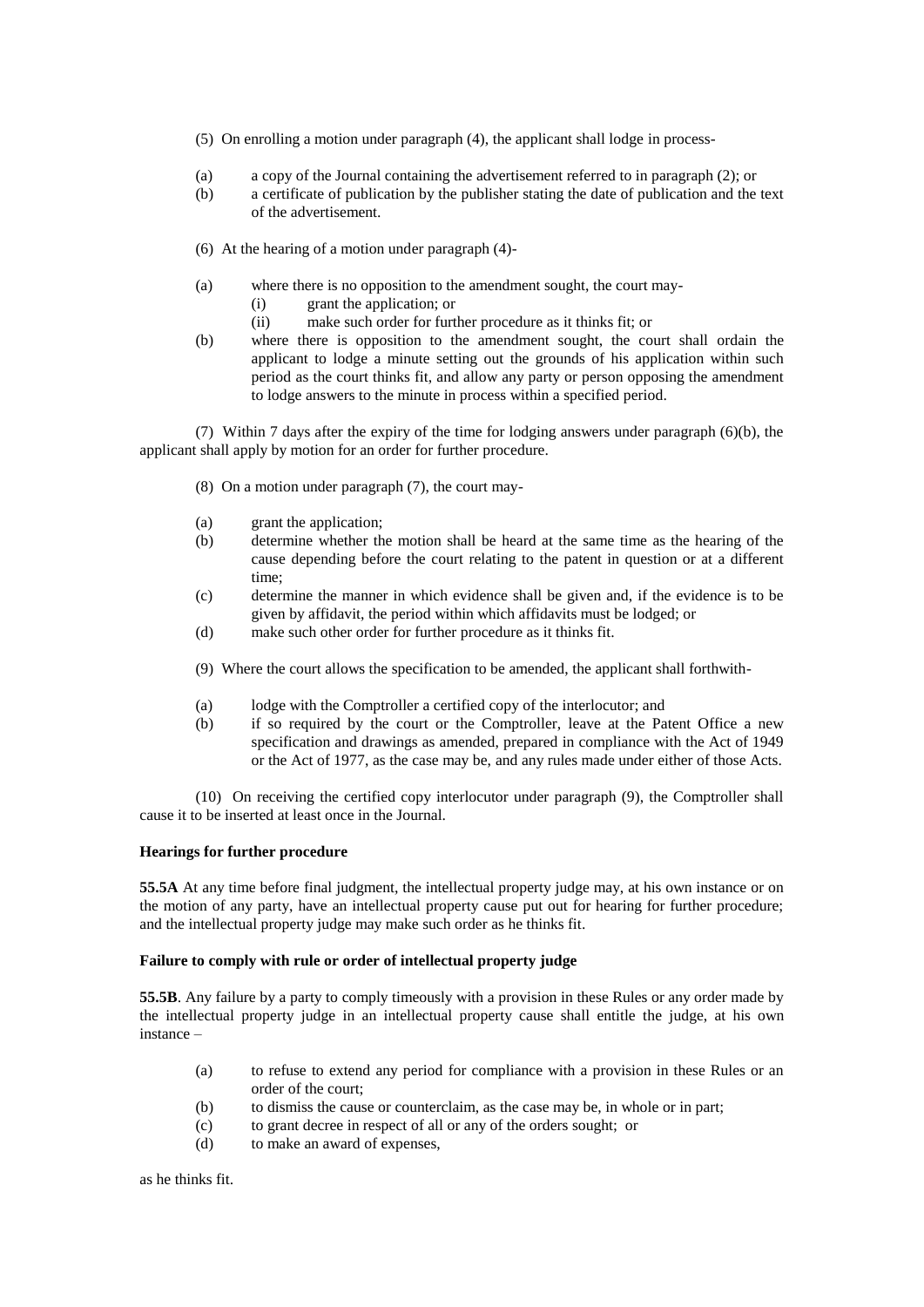- (5) On enrolling a motion under paragraph (4), the applicant shall lodge in process-
- (a) a copy of the Journal containing the advertisement referred to in paragraph (2); or
- (b) a certificate of publication by the publisher stating the date of publication and the text of the advertisement.
- (6) At the hearing of a motion under paragraph (4)-
- (a) where there is no opposition to the amendment sought, the court may-
	- (i) grant the application; or
	- (ii) make such order for further procedure as it thinks fit; or
- (b) where there is opposition to the amendment sought, the court shall ordain the applicant to lodge a minute setting out the grounds of his application within such period as the court thinks fit, and allow any party or person opposing the amendment to lodge answers to the minute in process within a specified period.

(7) Within 7 days after the expiry of the time for lodging answers under paragraph (6)(b), the applicant shall apply by motion for an order for further procedure.

- (8) On a motion under paragraph (7), the court may-
- (a) grant the application;
- (b) determine whether the motion shall be heard at the same time as the hearing of the cause depending before the court relating to the patent in question or at a different time;
- (c) determine the manner in which evidence shall be given and, if the evidence is to be given by affidavit, the period within which affidavits must be lodged; or
- (d) make such other order for further procedure as it thinks fit.
- (9) Where the court allows the specification to be amended, the applicant shall forthwith-
- (a) lodge with the Comptroller a certified copy of the interlocutor; and
- (b) if so required by the court or the Comptroller, leave at the Patent Office a new specification and drawings as amended, prepared in compliance with the Act of 1949 or the Act of 1977, as the case may be, and any rules made under either of those Acts.

(10) On receiving the certified copy interlocutor under paragraph (9), the Comptroller shall cause it to be inserted at least once in the Journal.

#### **Hearings for further procedure**

**55.5A** At any time before final judgment, the intellectual property judge may, at his own instance or on the motion of any party, have an intellectual property cause put out for hearing for further procedure; and the intellectual property judge may make such order as he thinks fit.

### **Failure to comply with rule or order of intellectual property judge**

**55.5B**. Any failure by a party to comply timeously with a provision in these Rules or any order made by the intellectual property judge in an intellectual property cause shall entitle the judge, at his own instance –

- (a) to refuse to extend any period for compliance with a provision in these Rules or an order of the court;
- (b) to dismiss the cause or counterclaim, as the case may be, in whole or in part;
- (c) to grant decree in respect of all or any of the orders sought; or
- (d) to make an award of expenses,

as he thinks fit.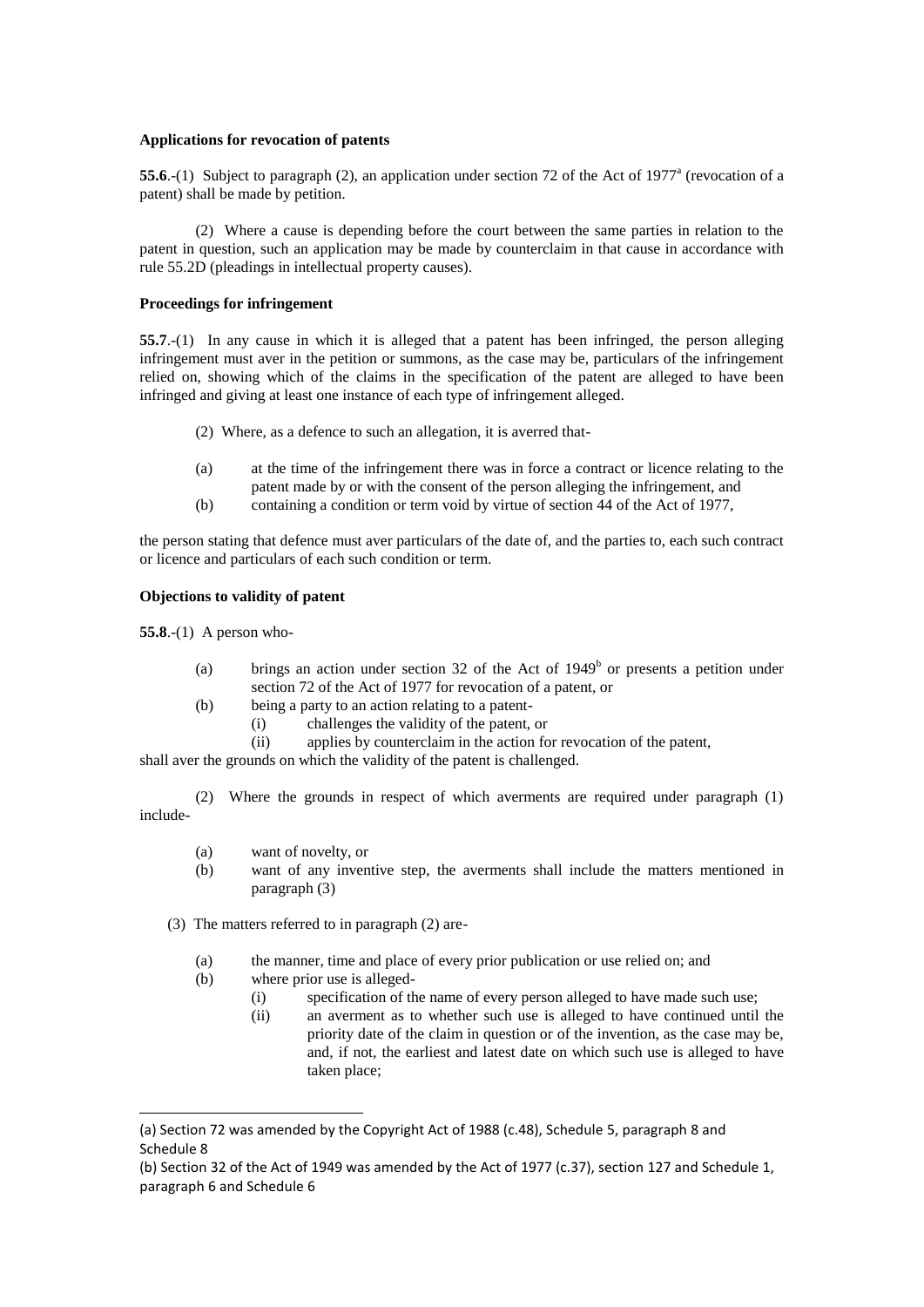### **Applications for revocation of patents**

**55.6.**-(1) Subject to paragraph (2), an application under section 72 of the Act of  $1977^a$  (revocation of a patent) shall be made by petition.

(2) Where a cause is depending before the court between the same parties in relation to the patent in question, such an application may be made by counterclaim in that cause in accordance with rule 55.2D (pleadings in intellectual property causes).

### **Proceedings for infringement**

**55.7**.-(1) In any cause in which it is alleged that a patent has been infringed, the person alleging infringement must aver in the petition or summons, as the case may be, particulars of the infringement relied on, showing which of the claims in the specification of the patent are alleged to have been infringed and giving at least one instance of each type of infringement alleged.

- (2) Where, as a defence to such an allegation, it is averred that-
- (a) at the time of the infringement there was in force a contract or licence relating to the patent made by or with the consent of the person alleging the infringement, and
- (b) containing a condition or term void by virtue of section 44 of the Act of 1977,

the person stating that defence must aver particulars of the date of, and the parties to, each such contract or licence and particulars of each such condition or term.

### **Objections to validity of patent**

**55.8**.-(1) A person who-

1

- (a) brings an action under section  $32$  of the Act of  $1949<sup>b</sup>$  or presents a petition under section 72 of the Act of 1977 for revocation of a patent, or
- (b) being a party to an action relating to a patent-
	- (i) challenges the validity of the patent, or
		- (ii) applies by counterclaim in the action for revocation of the patent,

shall aver the grounds on which the validity of the patent is challenged.

(2) Where the grounds in respect of which averments are required under paragraph (1) include-

- (a) want of novelty, or
- (b) want of any inventive step, the averments shall include the matters mentioned in paragraph (3)
- (3) The matters referred to in paragraph (2) are-
	- (a) the manner, time and place of every prior publication or use relied on; and
	- (b) where prior use is alleged-
		- (i) specification of the name of every person alleged to have made such use;
		- (ii) an averment as to whether such use is alleged to have continued until the priority date of the claim in question or of the invention, as the case may be, and, if not, the earliest and latest date on which such use is alleged to have taken place;

<sup>(</sup>a) Section 72 was amended by the Copyright Act of 1988 (c.48), Schedule 5, paragraph 8 and Schedule 8

<sup>(</sup>b) Section 32 of the Act of 1949 was amended by the Act of 1977 (c.37), section 127 and Schedule 1, paragraph 6 and Schedule 6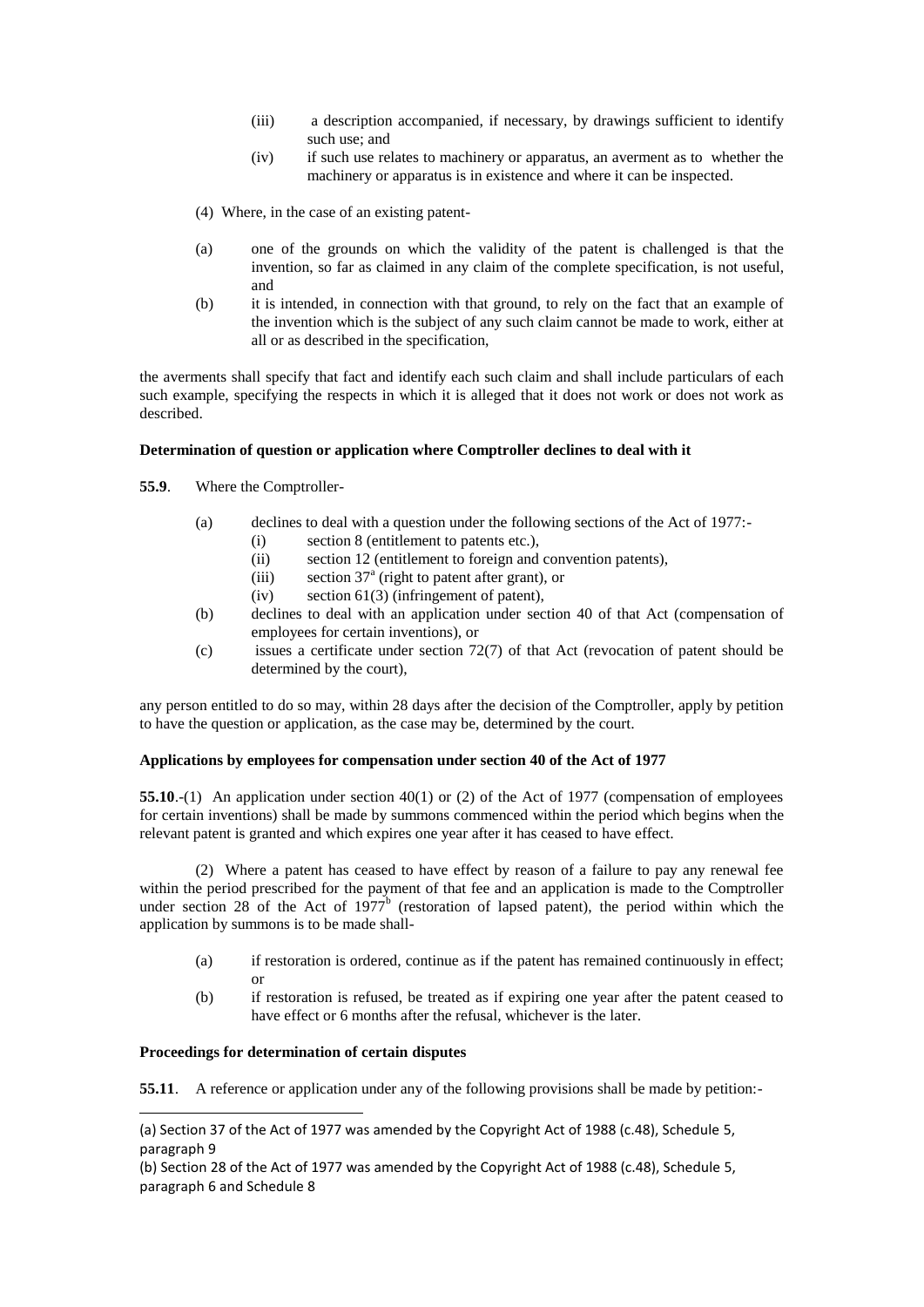- (iii) a description accompanied, if necessary, by drawings sufficient to identify such use; and
- (iv) if such use relates to machinery or apparatus, an averment as to whether the machinery or apparatus is in existence and where it can be inspected.
- (4) Where, in the case of an existing patent-
- (a) one of the grounds on which the validity of the patent is challenged is that the invention, so far as claimed in any claim of the complete specification, is not useful, and
- (b) it is intended, in connection with that ground, to rely on the fact that an example of the invention which is the subject of any such claim cannot be made to work, either at all or as described in the specification,

the averments shall specify that fact and identify each such claim and shall include particulars of each such example, specifying the respects in which it is alleged that it does not work or does not work as described.

# **Determination of question or application where Comptroller declines to deal with it**

- **55.9**. Where the Comptroller-
	- (a) declines to deal with a question under the following sections of the Act of 1977:- (i) section 8 (entitlement to patents etc.),
		- (ii) section 12 (entitlement to foreign and convention patents),
		- $(iii)$  section 37 $^{\circ}$  (right to patent after grant), or
		- (iv) section 61(3) (infringement of patent),
	- (b) declines to deal with an application under section 40 of that Act (compensation of employees for certain inventions), or
	- (c) issues a certificate under section 72(7) of that Act (revocation of patent should be determined by the court),

any person entitled to do so may, within 28 days after the decision of the Comptroller, apply by petition to have the question or application, as the case may be, determined by the court.

#### **Applications by employees for compensation under section 40 of the Act of 1977**

**55.10**.-(1) An application under section 40(1) or (2) of the Act of 1977 (compensation of employees for certain inventions) shall be made by summons commenced within the period which begins when the relevant patent is granted and which expires one year after it has ceased to have effect.

(2) Where a patent has ceased to have effect by reason of a failure to pay any renewal fee within the period prescribed for the payment of that fee and an application is made to the Comptroller under section 28 of the Act of  $1977<sup>b</sup>$  (restoration of lapsed patent), the period within which the application by summons is to be made shall-

- (a) if restoration is ordered, continue as if the patent has remained continuously in effect; or
- (b) if restoration is refused, be treated as if expiring one year after the patent ceased to have effect or 6 months after the refusal, whichever is the later.

### **Proceedings for determination of certain disputes**

1

**55.11**. A reference or application under any of the following provisions shall be made by petition:

<sup>(</sup>a) Section 37 of the Act of 1977 was amended by the Copyright Act of 1988 (c.48), Schedule 5, paragraph 9

<sup>(</sup>b) Section 28 of the Act of 1977 was amended by the Copyright Act of 1988 (c.48), Schedule 5, paragraph 6 and Schedule 8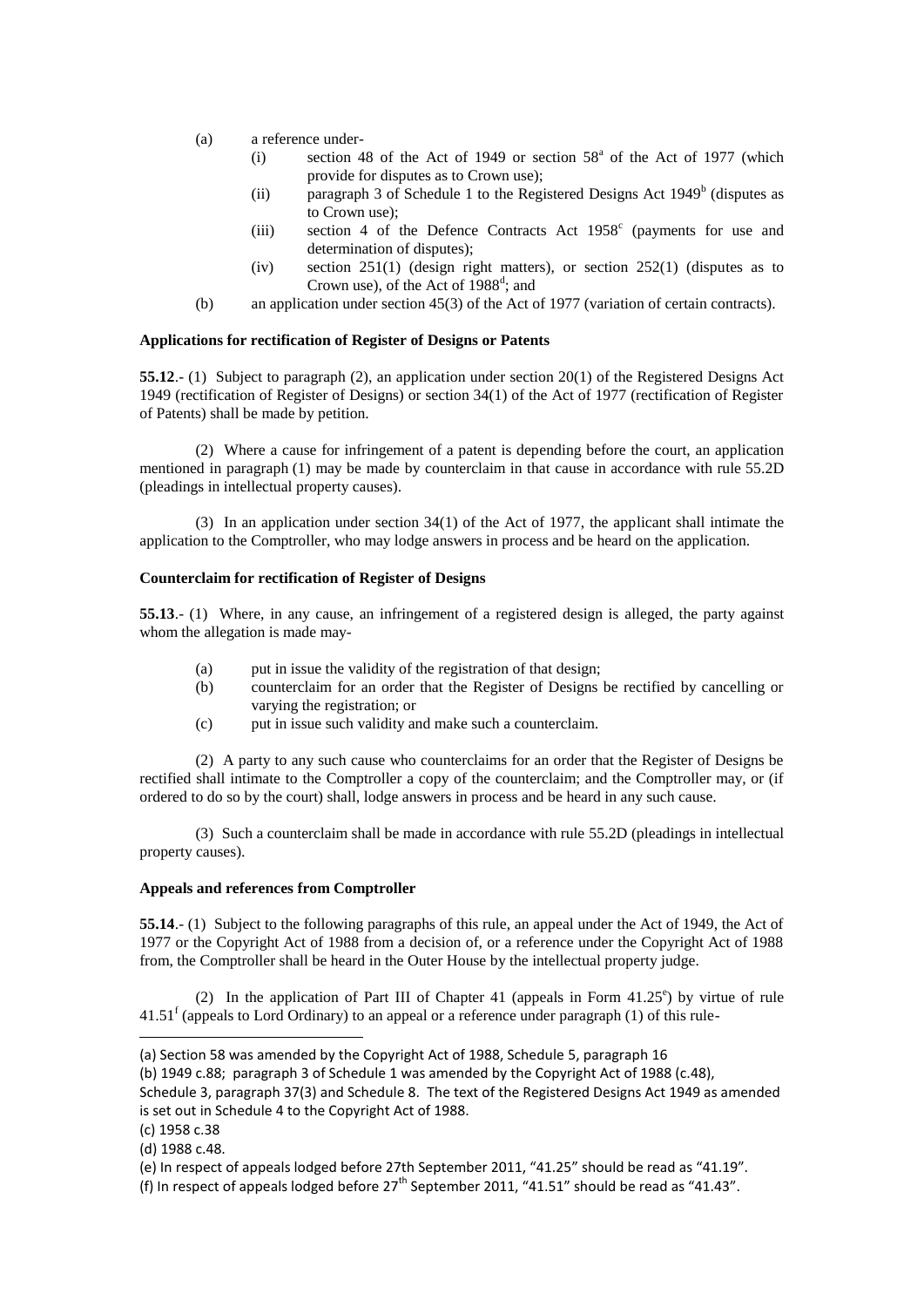- (a) a reference under-
	- (i) section 48 of the Act of 1949 or section  $58<sup>a</sup>$  of the Act of 1977 (which provide for disputes as to Crown use);
	- (ii) paragraph 3 of Schedule 1 to the Registered Designs Act  $1949<sup>b</sup>$  (disputes as to Crown use);
	- (iii) section 4 of the Defence Contracts Act  $1958^{\circ}$  (payments for use and determination of disputes);
	- (iv) section 251(1) (design right matters), or section 252(1) (disputes as to Crown use), of the Act of  $1988^d$ ; and
- (b) an application under section 45(3) of the Act of 1977 (variation of certain contracts).

### **Applications for rectification of Register of Designs or Patents**

**55.12**.- (1) Subject to paragraph (2), an application under section 20(1) of the Registered Designs Act 1949 (rectification of Register of Designs) or section 34(1) of the Act of 1977 (rectification of Register of Patents) shall be made by petition.

(2) Where a cause for infringement of a patent is depending before the court, an application mentioned in paragraph (1) may be made by counterclaim in that cause in accordance with rule 55.2D (pleadings in intellectual property causes).

(3) In an application under section 34(1) of the Act of 1977, the applicant shall intimate the application to the Comptroller, who may lodge answers in process and be heard on the application.

### **Counterclaim for rectification of Register of Designs**

**55.13**.- (1) Where, in any cause, an infringement of a registered design is alleged, the party against whom the allegation is made may-

- (a) put in issue the validity of the registration of that design;
- (b) counterclaim for an order that the Register of Designs be rectified by cancelling or varying the registration; or
- (c) put in issue such validity and make such a counterclaim.

(2) A party to any such cause who counterclaims for an order that the Register of Designs be rectified shall intimate to the Comptroller a copy of the counterclaim; and the Comptroller may, or (if ordered to do so by the court) shall, lodge answers in process and be heard in any such cause.

(3) Such a counterclaim shall be made in accordance with rule 55.2D (pleadings in intellectual property causes).

## **Appeals and references from Comptroller**

**55.14**.- (1) Subject to the following paragraphs of this rule, an appeal under the Act of 1949, the Act of 1977 or the Copyright Act of 1988 from a decision of, or a reference under the Copyright Act of 1988 from, the Comptroller shall be heard in the Outer House by the intellectual property judge.

(2) In the application of Part III of Chapter 41 (appeals in Form  $41.25^{\circ}$ ) by virtue of rule 41.51<sup>f</sup> (appeals to Lord Ordinary) to an appeal or a reference under paragraph (1) of this rule-

-

<sup>(</sup>a) Section 58 was amended by the Copyright Act of 1988, Schedule 5, paragraph 16

<sup>(</sup>b) 1949 c.88; paragraph 3 of Schedule 1 was amended by the Copyright Act of 1988 (c.48),

Schedule 3, paragraph 37(3) and Schedule 8. The text of the Registered Designs Act 1949 as amended is set out in Schedule 4 to the Copyright Act of 1988.

<sup>(</sup>c) 1958 c.38

<sup>(</sup>d) 1988 c.48.

<sup>(</sup>e) In respect of appeals lodged before 27th September 2011, "41.25" should be read as "41.19".

<sup>(</sup>f) In respect of appeals lodged before  $27<sup>th</sup>$  September 2011, "41.51" should be read as "41.43".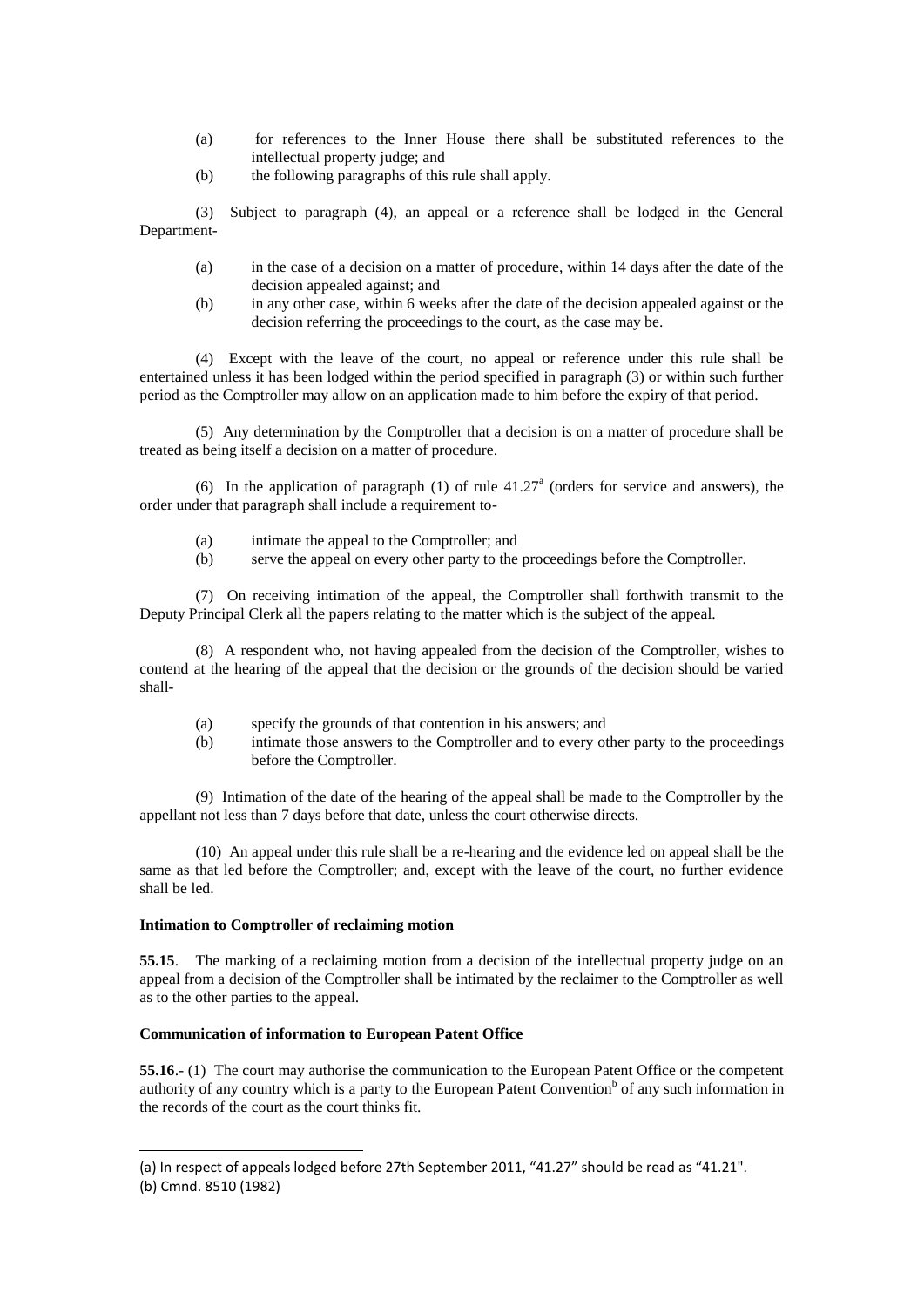- (a) for references to the Inner House there shall be substituted references to the intellectual property judge; and
- (b) the following paragraphs of this rule shall apply.

(3) Subject to paragraph (4), an appeal or a reference shall be lodged in the General Department-

- (a) in the case of a decision on a matter of procedure, within 14 days after the date of the decision appealed against; and
- (b) in any other case, within 6 weeks after the date of the decision appealed against or the decision referring the proceedings to the court, as the case may be.

(4) Except with the leave of the court, no appeal or reference under this rule shall be entertained unless it has been lodged within the period specified in paragraph (3) or within such further period as the Comptroller may allow on an application made to him before the expiry of that period.

(5) Any determination by the Comptroller that a decision is on a matter of procedure shall be treated as being itself a decision on a matter of procedure.

(6) In the application of paragraph (1) of rule  $41.27<sup>a</sup>$  (orders for service and answers), the order under that paragraph shall include a requirement to-

- (a) intimate the appeal to the Comptroller; and
- (b) serve the appeal on every other party to the proceedings before the Comptroller.

(7) On receiving intimation of the appeal, the Comptroller shall forthwith transmit to the Deputy Principal Clerk all the papers relating to the matter which is the subject of the appeal.

(8) A respondent who, not having appealed from the decision of the Comptroller, wishes to contend at the hearing of the appeal that the decision or the grounds of the decision should be varied shall-

- (a) specify the grounds of that contention in his answers; and
- (b) intimate those answers to the Comptroller and to every other party to the proceedings before the Comptroller.

(9) Intimation of the date of the hearing of the appeal shall be made to the Comptroller by the appellant not less than 7 days before that date, unless the court otherwise directs.

(10) An appeal under this rule shall be a re-hearing and the evidence led on appeal shall be the same as that led before the Comptroller; and, except with the leave of the court, no further evidence shall be led.

## **Intimation to Comptroller of reclaiming motion**

-

**55.15**. The marking of a reclaiming motion from a decision of the intellectual property judge on an appeal from a decision of the Comptroller shall be intimated by the reclaimer to the Comptroller as well as to the other parties to the appeal.

### **Communication of information to European Patent Office**

**55.16**.- (1) The court may authorise the communication to the European Patent Office or the competent authority of any country which is a party to the European Patent Convention<sup>b</sup> of any such information in the records of the court as the court thinks fit.

<sup>(</sup>a) In respect of appeals lodged before 27th September 2011, "41.27" should be read as "41.21". (b) Cmnd. 8510 (1982)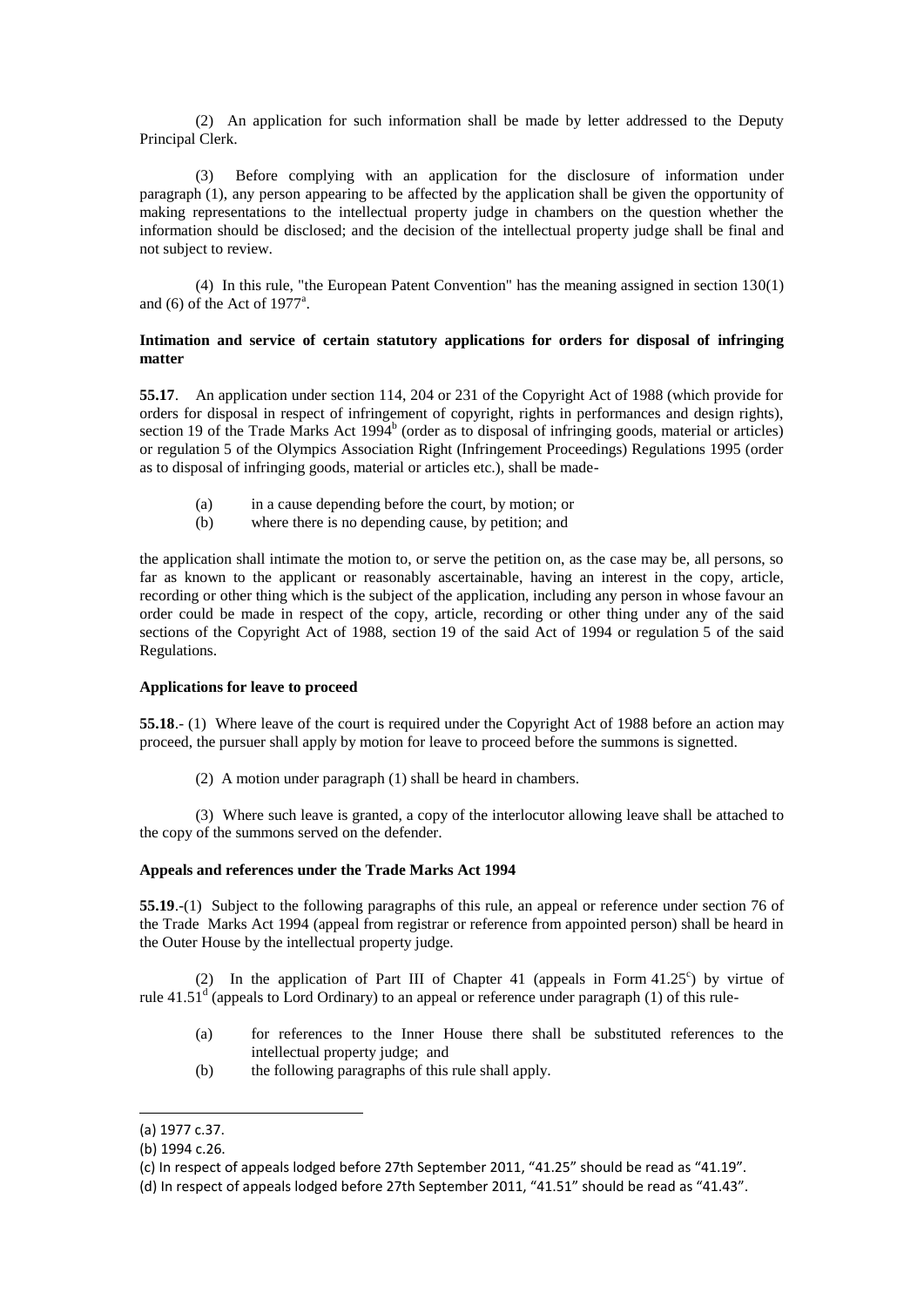(2) An application for such information shall be made by letter addressed to the Deputy Principal Clerk.

(3) Before complying with an application for the disclosure of information under paragraph (1), any person appearing to be affected by the application shall be given the opportunity of making representations to the intellectual property judge in chambers on the question whether the information should be disclosed; and the decision of the intellectual property judge shall be final and not subject to review.

(4) In this rule, "the European Patent Convention" has the meaning assigned in section 130(1) and  $(6)$  of the Act of 1977<sup>a</sup>.

### **Intimation and service of certain statutory applications for orders for disposal of infringing matter**

**55.17**. An application under section 114, 204 or 231 of the Copyright Act of 1988 (which provide for orders for disposal in respect of infringement of copyright, rights in performances and design rights), section 19 of the Trade Marks Act 1994<sup>b</sup> (order as to disposal of infringing goods, material or articles) or regulation 5 of the Olympics Association Right (Infringement Proceedings) Regulations 1995 (order as to disposal of infringing goods, material or articles etc.), shall be made-

- (a) in a cause depending before the court, by motion; or
- (b) where there is no depending cause, by petition; and

the application shall intimate the motion to, or serve the petition on, as the case may be, all persons, so far as known to the applicant or reasonably ascertainable, having an interest in the copy, article, recording or other thing which is the subject of the application, including any person in whose favour an order could be made in respect of the copy, article, recording or other thing under any of the said sections of the Copyright Act of 1988, section 19 of the said Act of 1994 or regulation 5 of the said Regulations.

#### **Applications for leave to proceed**

**55.18**.- (1) Where leave of the court is required under the Copyright Act of 1988 before an action may proceed, the pursuer shall apply by motion for leave to proceed before the summons is signetted.

(2) A motion under paragraph (1) shall be heard in chambers.

(3) Where such leave is granted, a copy of the interlocutor allowing leave shall be attached to the copy of the summons served on the defender.

## **Appeals and references under the Trade Marks Act 1994**

**55.19**.-(1) Subject to the following paragraphs of this rule, an appeal or reference under section 76 of the Trade Marks Act 1994 (appeal from registrar or reference from appointed person) shall be heard in the Outer House by the intellectual property judge.

(2) In the application of Part III of Chapter 41 (appeals in Form  $41.25^{\circ}$ ) by virtue of rule 41.51<sup>d</sup> (appeals to Lord Ordinary) to an appeal or reference under paragraph (1) of this rule-

- (a) for references to the Inner House there shall be substituted references to the intellectual property judge; and
- (b) the following paragraphs of this rule shall apply.

1

<sup>(</sup>a) 1977 c.37.

<sup>(</sup>b) 1994 c.26.

<sup>(</sup>c) In respect of appeals lodged before 27th September 2011, "41.25" should be read as "41.19".

<sup>(</sup>d) In respect of appeals lodged before 27th September 2011, "41.51" should be read as "41.43".